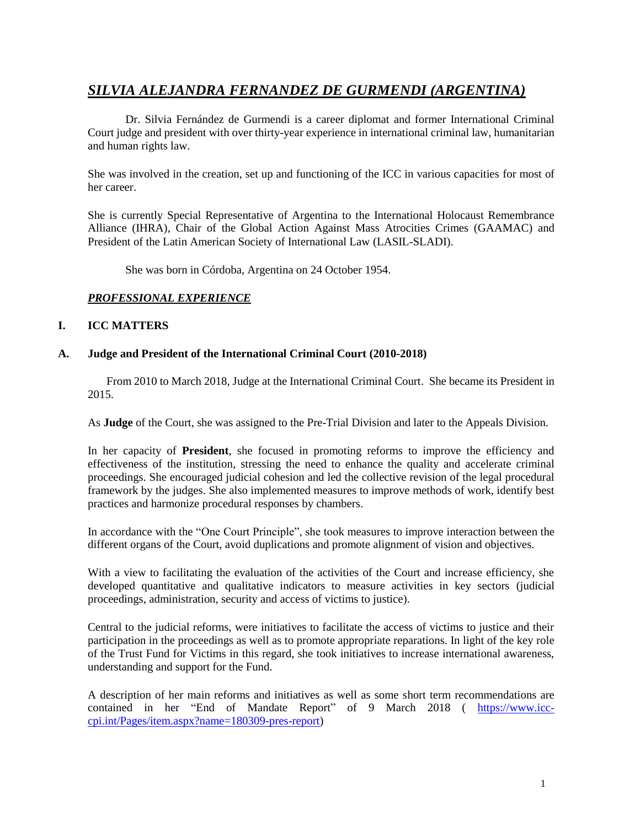# *SILVIA ALEJANDRA FERNANDEZ DE GURMENDI (ARGENTINA)*

Dr. Silvia Fernández de Gurmendi is a career diplomat and former International Criminal Court judge and president with over thirty-year experience in international criminal law, humanitarian and human rights law.

She was involved in the creation, set up and functioning of the ICC in various capacities for most of her career.

She is currently Special Representative of Argentina to the International Holocaust Remembrance Alliance (IHRA), Chair of the Global Action Against Mass Atrocities Crimes (GAAMAC) and President of the Latin American Society of International Law (LASIL-SLADI).

She was born in Córdoba, Argentina on 24 October 1954.

# *PROFESSIONAL EXPERIENCE*

# **I. ICC MATTERS**

### **A. Judge and President of the International Criminal Court (2010-2018)**

From 2010 to March 2018, Judge at the International Criminal Court. She became its President in 2015.

As **Judge** of the Court, she was assigned to the Pre-Trial Division and later to the Appeals Division.

In her capacity of **President**, she focused in promoting reforms to improve the efficiency and effectiveness of the institution, stressing the need to enhance the quality and accelerate criminal proceedings. She encouraged judicial cohesion and led the collective revision of the legal procedural framework by the judges. She also implemented measures to improve methods of work, identify best practices and harmonize procedural responses by chambers.

In accordance with the "One Court Principle", she took measures to improve interaction between the different organs of the Court, avoid duplications and promote alignment of vision and objectives.

With a view to facilitating the evaluation of the activities of the Court and increase efficiency, she developed quantitative and qualitative indicators to measure activities in key sectors (judicial proceedings, administration, security and access of victims to justice).

Central to the judicial reforms, were initiatives to facilitate the access of victims to justice and their participation in the proceedings as well as to promote appropriate reparations. In light of the key role of the Trust Fund for Victims in this regard, she took initiatives to increase international awareness, understanding and support for the Fund.

A description of her main reforms and initiatives as well as some short term recommendations are contained in her "End of Mandate Report" of 9 March 2018 ( [https://www.icc](https://www.icc-cpi.int/Pages/item.aspx?name=180309-pres-report)[cpi.int/Pages/item.aspx?name=180309-pres-report\)](https://www.icc-cpi.int/Pages/item.aspx?name=180309-pres-report)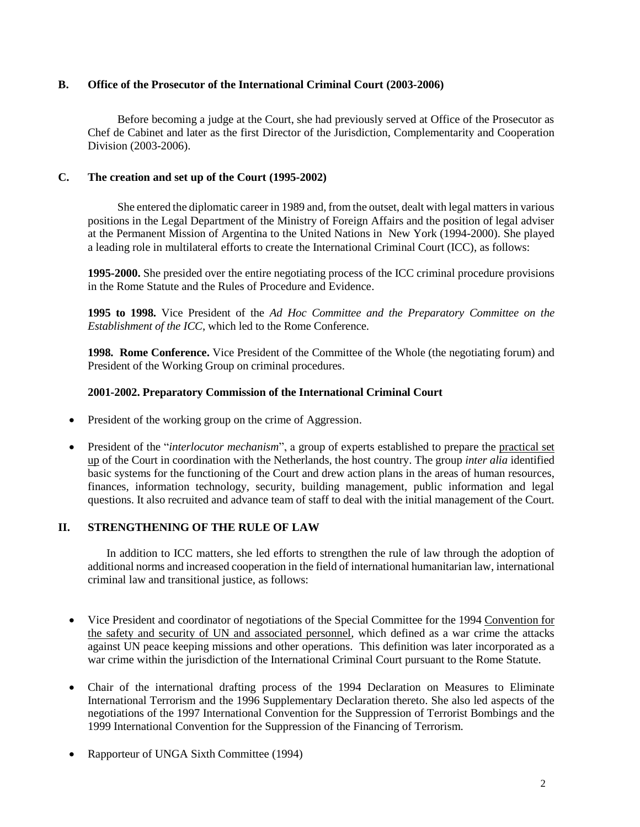# **B. Office of the Prosecutor of the International Criminal Court (2003-2006)**

Before becoming a judge at the Court, she had previously served at Office of the Prosecutor as Chef de Cabinet and later as the first Director of the Jurisdiction, Complementarity and Cooperation Division (2003-2006).

# **C. The creation and set up of the Court (1995-2002)**

She entered the diplomatic career in 1989 and, from the outset, dealt with legal matters in various positions in the Legal Department of the Ministry of Foreign Affairs and the position of legal adviser at the Permanent Mission of Argentina to the United Nations in New York (1994-2000). She played a leading role in multilateral efforts to create the International Criminal Court (ICC), as follows:

**1995-2000.** She presided over the entire negotiating process of the ICC criminal procedure provisions in the Rome Statute and the Rules of Procedure and Evidence.

**1995 to 1998.** Vice President of the *Ad Hoc Committee and the Preparatory Committee on the Establishment of the ICC*, which led to the Rome Conference.

**1998. Rome Conference.** Vice President of the Committee of the Whole (the negotiating forum) and President of the Working Group on criminal procedures.

# **2001-2002. Preparatory Commission of the International Criminal Court**

- President of the working group on the crime of Aggression.
- President of the "*interlocutor mechanism*", a group of experts established to prepare the practical set up of the Court in coordination with the Netherlands, the host country. The group *inter alia* identified basic systems for the functioning of the Court and drew action plans in the areas of human resources, finances, information technology, security, building management, public information and legal questions. It also recruited and advance team of staff to deal with the initial management of the Court.

# **II. STRENGTHENING OF THE RULE OF LAW**

In addition to ICC matters, she led efforts to strengthen the rule of law through the adoption of additional norms and increased cooperation in the field of international humanitarian law, international criminal law and transitional justice, as follows:

- Vice President and coordinator of negotiations of the Special Committee for the 1994 Convention for the safety and security of UN and associated personnel, which defined as a war crime the attacks against UN peace keeping missions and other operations. This definition was later incorporated as a war crime within the jurisdiction of the International Criminal Court pursuant to the Rome Statute.
- Chair of the international drafting process of the 1994 Declaration on Measures to Eliminate International Terrorism and the 1996 Supplementary Declaration thereto. She also led aspects of the negotiations of the 1997 International Convention for the Suppression of Terrorist Bombings and the 1999 International Convention for the Suppression of the Financing of Terrorism.
- Rapporteur of UNGA Sixth Committee (1994)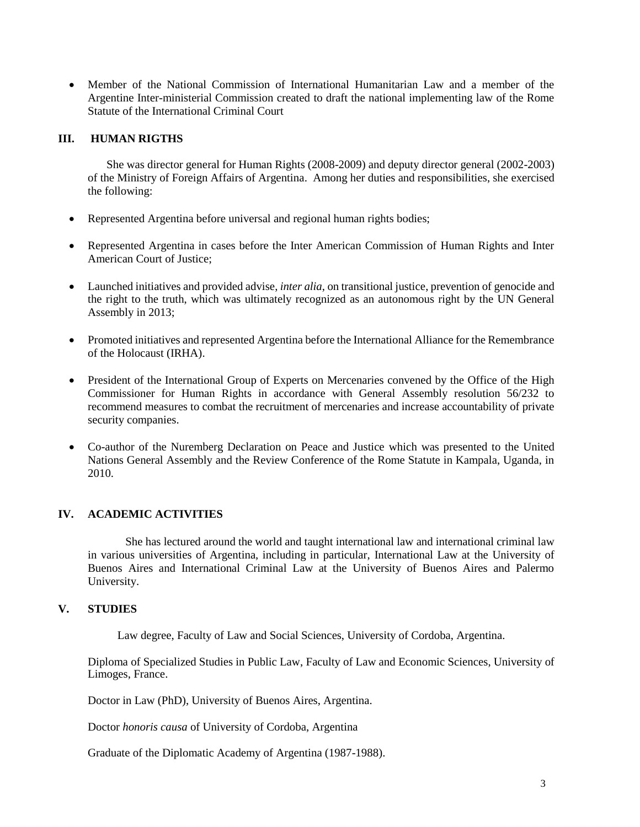Member of the National Commission of International Humanitarian Law and a member of the Argentine Inter-ministerial Commission created to draft the national implementing law of the Rome Statute of the International Criminal Court

### **III. HUMAN RIGTHS**

She was director general for Human Rights (2008-2009) and deputy director general (2002-2003) of the Ministry of Foreign Affairs of Argentina. Among her duties and responsibilities, she exercised the following:

- Represented Argentina before universal and regional human rights bodies;
- Represented Argentina in cases before the Inter American Commission of Human Rights and Inter American Court of Justice;
- Launched initiatives and provided advise, *inter alia*, on transitional justice, prevention of genocide and the right to the truth, which was ultimately recognized as an autonomous right by the UN General Assembly in 2013;
- Promoted initiatives and represented Argentina before the International Alliance for the Remembrance of the Holocaust (IRHA).
- President of the International Group of Experts on Mercenaries convened by the Office of the High Commissioner for Human Rights in accordance with General Assembly resolution 56/232 to recommend measures to combat the recruitment of mercenaries and increase accountability of private security companies.
- Co-author of the Nuremberg Declaration on Peace and Justice which was presented to the United Nations General Assembly and the Review Conference of the Rome Statute in Kampala, Uganda, in 2010.

# **IV. ACADEMIC ACTIVITIES**

She has lectured around the world and taught international law and international criminal law in various universities of Argentina, including in particular, International Law at the University of Buenos Aires and International Criminal Law at the University of Buenos Aires and Palermo University.

### **V. STUDIES**

Law degree, Faculty of Law and Social Sciences, University of Cordoba, Argentina.

Diploma of Specialized Studies in Public Law, Faculty of Law and Economic Sciences, University of Limoges, France.

Doctor in Law (PhD), University of Buenos Aires, Argentina.

Doctor *honoris causa* of University of Cordoba, Argentina

Graduate of the Diplomatic Academy of Argentina (1987-1988).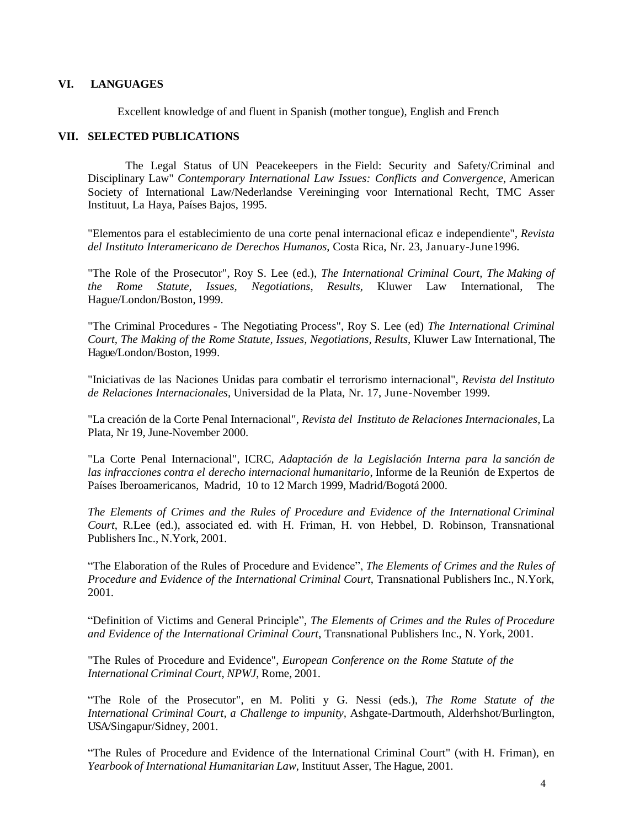# **VI. LANGUAGES**

Excellent knowledge of and fluent in Spanish (mother tongue), English and French

### **VII. SELECTED PUBLICATIONS**

The Legal Status of UN Peacekeepers in the Field: Security and Safety/Criminal and Disciplinary Law" *Contemporary International Law Issues: Conflicts and Convergence*, American Society of International Law/Nederlandse Vereininging voor International Recht, TMC Asser Instituut, La Haya, Países Bajos, 1995.

"Elementos para el establecimiento de una corte penal internacional eficaz e independiente", *Revista del Instituto Interamericano de Derechos Humanos*, Costa Rica, Nr. 23, January-June1996.

"The Role of the Prosecutor", Roy S. Lee (ed.), *The International Criminal Court, The Making of the Rome Statute, Issues, Negotiations*, *Results,* Kluwer Law International, The Hague/London/Boston, 1999.

"The Criminal Procedures - The Negotiating Process", Roy S. Lee (ed) *The International Criminal Court, The Making of the Rome Statute, Issues, Negotiations, Results*, Kluwer Law International, The Hague/London/Boston, 1999.

"Iniciativas de las Naciones Unidas para combatir el terrorismo internacional", *Revista del Instituto de Relaciones Internacionales,* Universidad de la Plata, Nr. 17, June-November 1999.

"La creación de la Corte Penal Internacional", *Revista del Instituto de Relaciones Internacionales*, La Plata, Nr 19, June-November 2000.

"La Corte Penal Internacional", ICRC*, Adaptación de la Legislación Interna para la sanción de las infracciones contra el derecho internacional humanitario*, Informe de la Reunión de Expertos de Países Iberoamericanos, Madrid, 10 to 12 March 1999, Madrid/Bogotá 2000.

*The Elements of Crimes and the Rules of Procedure and Evidence of the International Criminal Court*, R.Lee (ed.), associated ed. with H. Friman, H. von Hebbel, D. Robinson, Transnational Publishers Inc., N.York, 2001.

"The Elaboration of the Rules of Procedure and Evidence", *The Elements of Crimes and the Rules of Procedure and Evidence of the International Criminal Court*, Transnational Publishers Inc., N.York, 2001.

"Definition of Victims and General Principle", *The Elements of Crimes and the Rules of Procedure and Evidence of the International Criminal Court*, Transnational Publishers Inc., N. York, 2001.

"The Rules of Procedure and Evidence", *European Conference on the Rome Statute of the International Criminal Court*, *NPWJ*, Rome, 2001.

"The Role of the Prosecutor", en M. Politi y G. Nessi (eds.), *The Rome Statute of the International Criminal Court, a Challenge to impunity,* Ashgate-Dartmouth, Alderhshot/Burlington, USA/Singapur/Sidney, 2001.

"The Rules of Procedure and Evidence of the International Criminal Court" (with H. Friman), en *Yearbook of International Humanitarian Law*, Instituut Asser, The Hague, 2001.